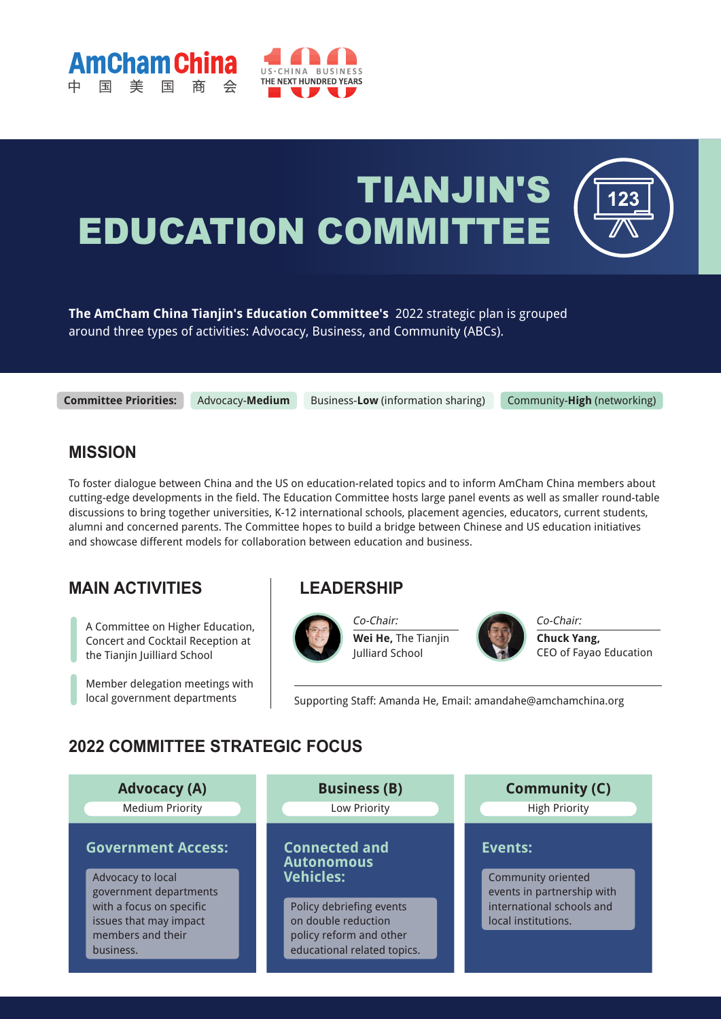



# TIANJIN'S EDUCATION COMMITTEE

**The AmCham China Tianjin's Education Committee's** 2022 strategic plan is grouped around three types of activities: Advocacy, Business, and Community (ABCs).

**Committee Priorities:** Advocacy-**Medium** Business-**Low** (information sharing) Community-**High** (networking)

#### **MISSION**

To foster dialogue between China and the US on education-related topics and to inform AmCham China members about cutting-edge developments in the field. The Education Committee hosts large panel events as well as smaller round-table discussions to bring together universities, K-12 international schools, placement agencies, educators, current students, alumni and concerned parents. The Committee hopes to build a bridge between Chinese and US education initiatives and showcase different models for collaboration between education and business.

### **MAIN ACTIVITIES**

A Committee on Higher Education, Concert and Cocktail Reception at the Tianjin Juilliard School

Member delegation meetings with local government departments

#### **LEADERSHIP**



Co-Chair: **Wei He,** The Tianjin Julliard School



Co-Chair: **Chuck Yang,**  CEO of Fayao Education

Supporting Staff: Amanda He, Email: amandahe@amchamchina.org

#### **2022 COMMITTEE STRATEGIC FOCUS**